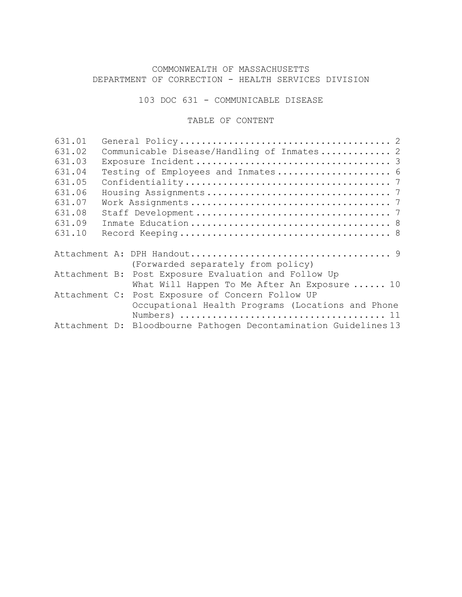# COMMONWEALTH OF MASSACHUSETTS DEPARTMENT OF CORRECTION - HEALTH SERVICES DIVISION

103 DOC 631 - COMMUNICABLE DISEASE

# TABLE OF CONTENT

| 631.01        |                                                                  |
|---------------|------------------------------------------------------------------|
| 631.02        | Communicable Disease/Handling of Inmates 2                       |
| 631.03        |                                                                  |
| 631.04        | Testing of Employees and Inmates 6                               |
| 631.05        |                                                                  |
| 631.06        |                                                                  |
| 631.07        |                                                                  |
| 631.08        |                                                                  |
| 631.09        |                                                                  |
| 631.10        |                                                                  |
|               | (Forwarded separately from policy)                               |
| Attachment B: | Post Exposure Evaluation and Follow Up                           |
|               | What Will Happen To Me After An Exposure  10                     |
|               | Attachment C: Post Exposure of Concern Follow UP                 |
|               | Occupational Health Programs (Locations and Phone                |
|               | Attachment D: Bloodbourne Pathogen Decontamination Guidelines 13 |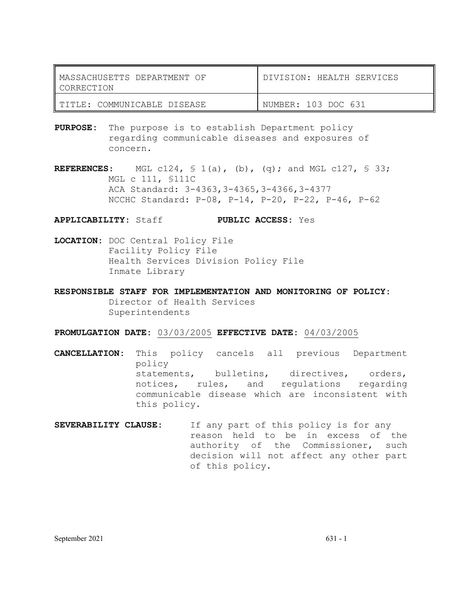| MASSACHUSETTS DEPARTMENT OF<br>'I CORRECTION | DIVISION: HEALTH SERVICES |
|----------------------------------------------|---------------------------|
| I TITLE: COMMUNICABLE DISEASE                | NUMBER: 103 DOC 631       |

**PURPOSE:** The purpose is to establish Department policy regarding communicable diseases and exposures of concern.

**REFERENCES**: MGL c124,  $\frac{1}{2}$  (a), (b), (q); and MGL c127,  $\frac{1}{2}$  33; MGL c 111, §111C ACA Standard: 3-4363,3-4365,3-4366,3-4377 NCCHC Standard: P-08, P-14, P-20, P-22, P-46, P-62

**APPLICABILITY:** Staff **PUBLIC ACCESS:** Yes

**LOCATION:** DOC Central Policy File Facility Policy File Health Services Division Policy File Inmate Library

**RESPONSIBLE STAFF FOR IMPLEMENTATION AND MONITORING OF POLICY:** Director of Health Services Superintendents

**PROMULGATION DATE:** 03/03/2005 **EFFECTIVE DATE:** 04/03/2005

**CANCELLATION:** This policy cancels all previous Department policy statements, bulletins, directives, orders, notices, rules, and regulations regarding communicable disease which are inconsistent with this policy.

**SEVERABILITY CLAUSE:** If any part of this policy is for any reason held to be in excess of the authority of the Commissioner, such decision will not affect any other part of this policy.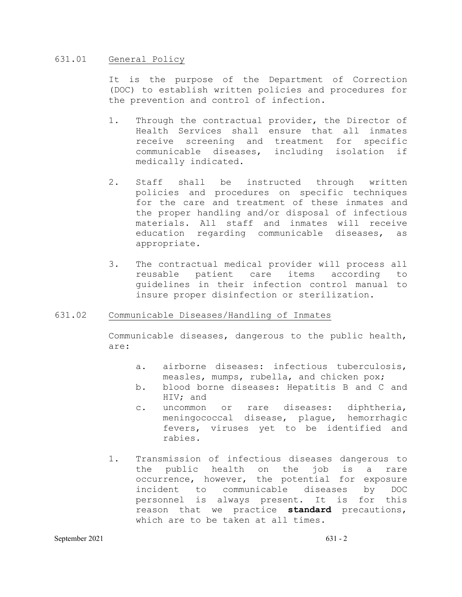# 631.01 General Policy

It is the purpose of the Department of Correction (DOC) to establish written policies and procedures for the prevention and control of infection.

- 1. Through the contractual provider, the Director of Health Services shall ensure that all inmates receive screening and treatment for specific communicable diseases, including isolation if medically indicated.
- 2. Staff shall be instructed through written policies and procedures on specific techniques for the care and treatment of these inmates and the proper handling and/or disposal of infectious materials. All staff and inmates will receive education regarding communicable diseases, as appropriate.
- 3. The contractual medical provider will process all<br>reusable patient care items according to reusable patient care items according to guidelines in their infection control manual to insure proper disinfection or sterilization.

# 631.02 Communicable Diseases/Handling of Inmates

Communicable diseases, dangerous to the public health, are:

- a. airborne diseases: infectious tuberculosis, measles, mumps, rubella, and chicken pox;
- b. blood borne diseases: Hepatitis B and C and HIV; and
- c. uncommon or rare diseases: diphtheria, meningococcal disease, plague, hemorrhagic fevers, viruses yet to be identified and rabies.
- 1. Transmission of infectious diseases dangerous to the public health on the job is a rare occurrence, however, the potential for exposure incident to communicable diseases by DOC personnel is always present. It is for this reason that we practice **standard** precautions, which are to be taken at all times.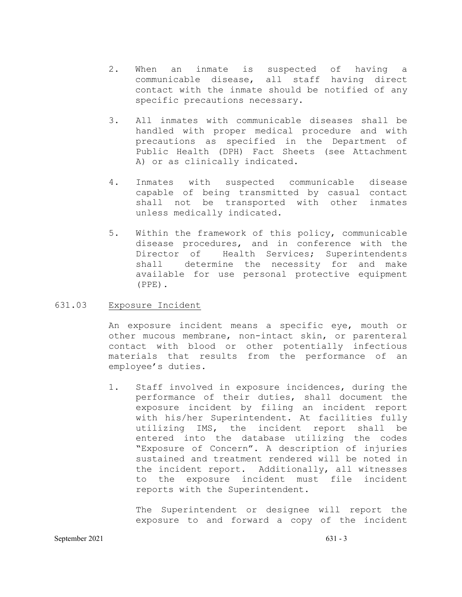- 2. When an inmate is suspected of having a communicable disease, all staff having direct contact with the inmate should be notified of any specific precautions necessary.
- 3**.** All inmates with communicable diseases shall be handled with proper medical procedure and with precautions as specified in the Department of Public Health (DPH) Fact Sheets (see Attachment A) or as clinically indicated.
- 4**.** Inmates with suspected communicable disease capable of being transmitted by casual contact<br>shall not be transported with other inmates shall not be transported with other unless medically indicated.
- 5**.** Within the framework of this policy, communicable disease procedures, and in conference with the Director of Health Services; Superintendents shall determine the necessity for and make available for use personal protective equipment (PPE).

### 631.03 Exposure Incident

An exposure incident means a specific eye, mouth or other mucous membrane, non-intact skin, or parenteral contact with blood or other potentially infectious materials that results from the performance of an employee's duties.

1. Staff involved in exposure incidences, during the performance of their duties, shall document the exposure incident by filing an incident report with his/her Superintendent. At facilities fully utilizing IMS, the incident report shall be entered into the database utilizing the codes "Exposure of Concern". A description of injuries sustained and treatment rendered will be noted in the incident report. Additionally, all witnesses to the exposure incident must file incident reports with the Superintendent.

The Superintendent or designee will report the exposure to and forward a copy of the incident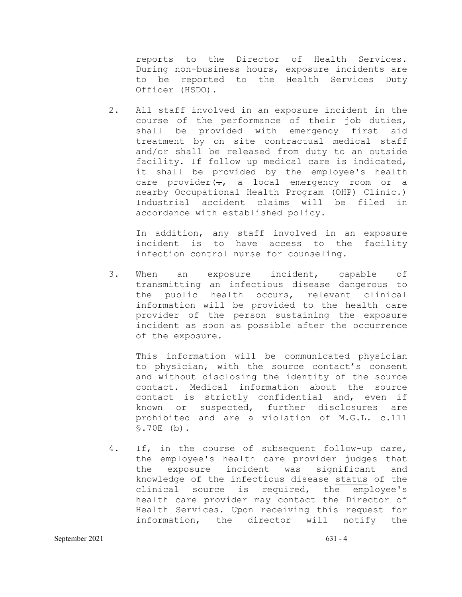reports to the Director of Health Services. During non-business hours, exposure incidents are to be reported to the Health Services Duty Officer (HSDO).

2. All staff involved in an exposure incident in the course of the performance of their job duties, shall be provided with emergency first aid treatment by on site contractual medical staff and/or shall be released from duty to an outside facility. If follow up medical care is indicated, it shall be provided by the employee's health care provider $(-, a$  local emergency room or a nearby Occupational Health Program (OHP) Clinic.) Industrial accident claims will be filed in accordance with established policy.

In addition, any staff involved in an exposure incident is to have access to the facility infection control nurse for counseling.

3. When an exposure incident, capable of transmitting an infectious disease dangerous to the public health occurs, relevant clinical information will be provided to the health care provider of the person sustaining the exposure incident as soon as possible after the occurrence of the exposure.

This information will be communicated physician to physician, with the source contact's consent and without disclosing the identity of the source contact. Medical information about the source contact is strictly confidential and, even if known or suspected, further disclosures are prohibited and are a violation of M.G.L. c.111 §.70E (b).

4. If, in the course of subsequent follow-up care, the employee's health care provider judges that<br>the exposure incident was significant and exposure incident was significant and knowledge of the infectious disease status of the clinical source is required, the employee's health care provider may contact the Director of Health Services. Upon receiving this request for information, the director will notify the

September 2021 631 - 4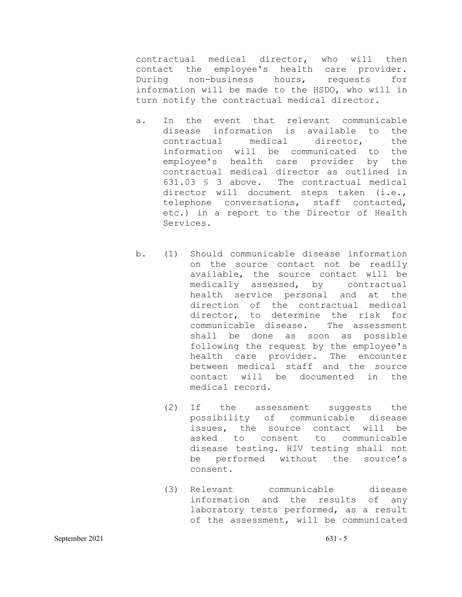contractual medical director, who will then contact the employee's health care provider. During non-business hours, requests for information will be made to the HSDO, who will in turn notify the contractual medical director.

- a. In the event that relevant communicable disease information is available to the<br>contractual medical director, the contractual medical director, the information will be communicated to the employee's health care provider by the contractual medical director as outlined in 631.03 § 3 above. The contractual medical director will document steps taken (i.e., telephone conversations, staff contacted, etc.) in a report to the Director of Health Services.
- b. (1) Should communicable disease information on the source contact not be readily available, the source contact will be medically assessed, by contractual health service personal and at the direction of the contractual medical director, to determine the risk for communicable disease. The assessment shall be done as soon as possible following the request by the employee's health care provider. The encounter between medical staff and the source contact will be documented in the medical record.
	- (2) If the assessment suggests the possibility of communicable disease issues, the source contact will be asked to consent to communicable disease testing. HIV testing shall not be performed without the source's consent.
	- (3) Relevant communicable disease information and the results of any laboratory tests performed, as a result of the assessment, will be communicated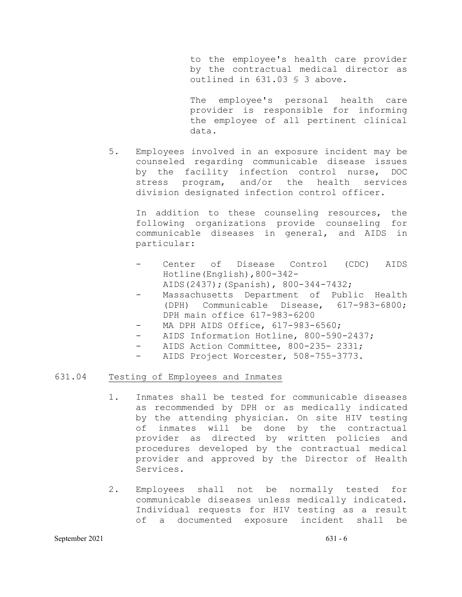to the employee's health care provider by the contractual medical director as outlined in 631.03 § 3 above.

The employee's personal health care provider is responsible for informing the employee of all pertinent clinical data.

5. Employees involved in an exposure incident may be counseled regarding communicable disease issues by the facility infection control nurse, DOC<br>stress program, and/or the health services and/or the health division designated infection control officer.

In addition to these counseling resources, the following organizations provide counseling for communicable diseases in general, and AIDS in particular:

- Center of Disease Control (CDC) AIDS Hotline(English),800-342- AIDS(2437);(Spanish), 800-344-7432;
- Massachusetts Department of Public Health (DPH) Communicable Disease, 617-983-6800; DPH main office 617-983-6200
- MA DPH AIDS Office, 617-983-6560;
- AIDS Information Hotline, 800-590-2437;
- AIDS Action Committee, 800-235- 2331;
- AIDS Project Worcester, 508-755-3773.

### 631.04 Testing of Employees and Inmates

- 1. Inmates shall be tested for communicable diseases as recommended by DPH or as medically indicated by the attending physician. On site HIV testing of inmates will be done by the contractual provider as directed by written policies and procedures developed by the contractual medical provider and approved by the Director of Health Services.
- 2. Employees shall not be normally tested for communicable diseases unless medically indicated. Individual requests for HIV testing as a result of a documented exposure incident shall be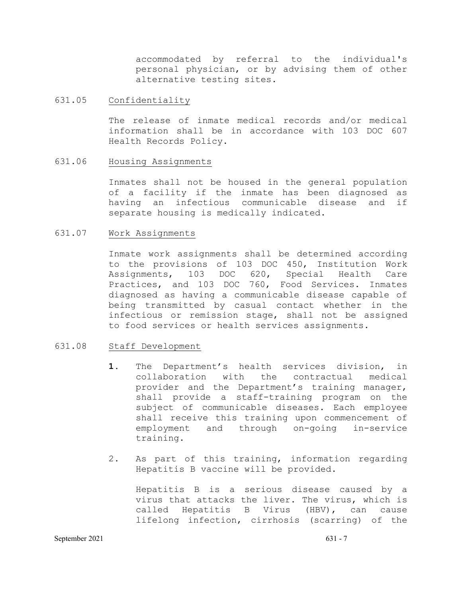accommodated by referral to the individual's personal physician, or by advising them of other alternative testing sites.

# 631.05 Confidentiality

The release of inmate medical records and/or medical information shall be in accordance with 103 DOC 607 Health Records Policy.

# 631.06 Housing Assignments

Inmates shall not be housed in the general population of a facility if the inmate has been diagnosed as<br>having an infectious communicable disease and if having an infectious communicable disease separate housing is medically indicated.

## 631.07 Work Assignments

Inmate work assignments shall be determined according to the provisions of 103 DOC 450, Institution Work<br>Assignments, 103 DOC 620, Special Health Care Assignments, 103 DOC 620, Special Health Care Practices, and 103 DOC 760, Food Services. Inmates diagnosed as having a communicable disease capable of being transmitted by casual contact whether in the infectious or remission stage, shall not be assigned to food services or health services assignments.

# 631.08 Staff Development

- **1.** The Department's health services division, in<br>collaboration with the contractual medical collaboration with the contractual provider and the Department's training manager, shall provide a staff-training program on the subject of communicable diseases. Each employee shall receive this training upon commencement of employment and through on-going in-service training.
- 2. As part of this training, information regarding Hepatitis B vaccine will be provided.

Hepatitis B is a serious disease caused by a virus that attacks the liver. The virus, which is called Hepatitis B Virus (HBV), can cause lifelong infection, cirrhosis (scarring) of the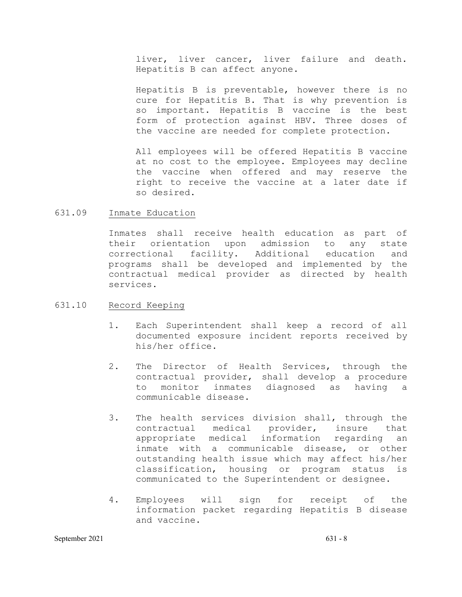liver, liver cancer, liver failure and death. Hepatitis B can affect anyone.

Hepatitis B is preventable, however there is no cure for Hepatitis B. That is why prevention is so important. Hepatitis B vaccine is the best form of protection against HBV. Three doses of the vaccine are needed for complete protection.

All employees will be offered Hepatitis B vaccine at no cost to the employee. Employees may decline the vaccine when offered and may reserve the right to receive the vaccine at a later date if so desired.

631.09 Inmate Education

Inmates shall receive health education as part of their orientation upon admission to any state correctional facility. Additional education and programs shall be developed and implemented by the contractual medical provider as directed by health services.

# 631.10 Record Keeping

- 1. Each Superintendent shall keep a record of all documented exposure incident reports received by his/her office.
- 2. The Director of Health Services, through the contractual provider, shall develop a procedure monitor inmates diagnosed as having a communicable disease.
- 3. The health services division shall, through the contractual medical provider, insure that appropriate medical information regarding an inmate with a communicable disease, or other outstanding health issue which may affect his/her classification, housing or program status is communicated to the Superintendent or designee.
- 4. Employees will sign for receipt of the information packet regarding Hepatitis B disease and vaccine.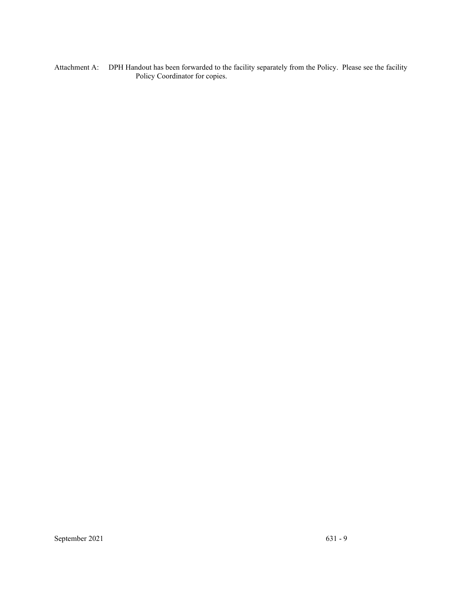Attachment A: DPH Handout has been forwarded to the facility separately from the Policy. Please see the facility Policy Coordinator for copies.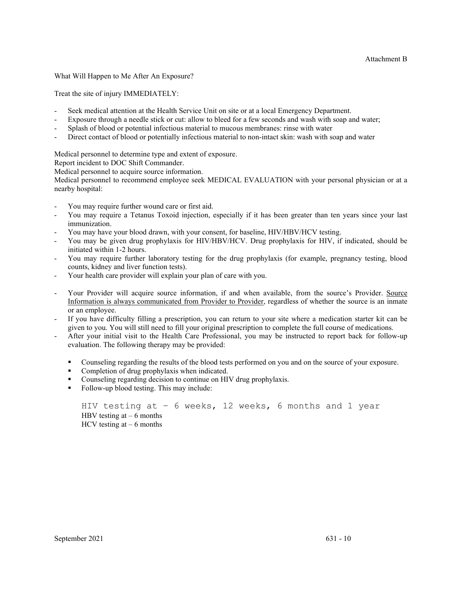What Will Happen to Me After An Exposure?

Treat the site of injury IMMEDIATELY:

- Seek medical attention at the Health Service Unit on site or at a local Emergency Department.
- Exposure through a needle stick or cut: allow to bleed for a few seconds and wash with soap and water;
- Splash of blood or potential infectious material to mucous membranes: rinse with water
- Direct contact of blood or potentially infectious material to non-intact skin: wash with soap and water

Medical personnel to determine type and extent of exposure.

Report incident to DOC Shift Commander.

Medical personnel to acquire source information.

Medical personnel to recommend employee seek MEDICAL EVALUATION with your personal physician or at a nearby hospital:

- You may require further wound care or first aid.
- You may require a Tetanus Toxoid injection, especially if it has been greater than ten years since your last immunization.
- You may have your blood drawn, with your consent, for baseline, HIV/HBV/HCV testing.
- You may be given drug prophylaxis for HIV/HBV/HCV. Drug prophylaxis for HIV, if indicated, should be initiated within 1-2 hours.
- You may require further laboratory testing for the drug prophylaxis (for example, pregnancy testing, blood counts, kidney and liver function tests).
- Your health care provider will explain your plan of care with you.
- Your Provider will acquire source information, if and when available, from the source's Provider. Source Information is always communicated from Provider to Provider, regardless of whether the source is an inmate or an employee.
- If you have difficulty filling a prescription, you can return to your site where a medication starter kit can be given to you. You will still need to fill your original prescription to complete the full course of medications.
- After your initial visit to the Health Care Professional, you may be instructed to report back for follow-up evaluation. The following therapy may be provided:
	- Counseling regarding the results of the blood tests performed on you and on the source of your exposure.
	- Completion of drug prophylaxis when indicated.
	- Counseling regarding decision to continue on HIV drug prophylaxis.
	- Follow-up blood testing. This may include:

```
HIV testing at – 6 weeks, 12 weeks, 6 months and 1 year
HBV testing at -6 months
HCV testing at -6 months
```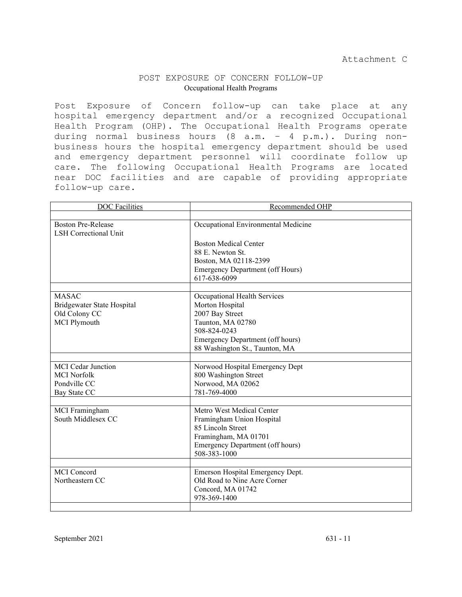### POST EXPOSURE OF CONCERN FOLLOW-UP Occupational Health Programs

Post Exposure of Concern follow-up can take place at any hospital emergency department and/or a recognized Occupational Health Program (OHP). The Occupational Health Programs operate during normal business hours (8 a.m. – 4 p.m.). During nonbusiness hours the hospital emergency department should be used and emergency department personnel will coordinate follow up care. The following Occupational Health Programs are located near DOC facilities and are capable of providing appropriate follow-up care.

| <b>DOC</b> Facilities                                     | Recommended OHP                         |
|-----------------------------------------------------------|-----------------------------------------|
|                                                           |                                         |
| <b>Boston Pre-Release</b><br><b>LSH Correctional Unit</b> | Occupational Environmental Medicine     |
|                                                           | <b>Boston Medical Center</b>            |
|                                                           | 88 E. Newton St.                        |
|                                                           | Boston, MA 02118-2399                   |
|                                                           | <b>Emergency Department (off Hours)</b> |
|                                                           | 617-638-6099                            |
|                                                           |                                         |
| <b>MASAC</b>                                              | Occupational Health Services            |
| Bridgewater State Hospital                                | Morton Hospital                         |
| Old Colony CC                                             | 2007 Bay Street                         |
| <b>MCI</b> Plymouth                                       | Taunton, MA 02780<br>508-824-0243       |
|                                                           | Emergency Department (off hours)        |
|                                                           | 88 Washington St., Taunton, MA          |
|                                                           |                                         |
| <b>MCI</b> Cedar Junction                                 | Norwood Hospital Emergency Dept         |
| <b>MCI</b> Norfolk                                        | 800 Washington Street                   |
| Pondville CC                                              | Norwood, MA 02062                       |
| Bay State CC                                              | 781-769-4000                            |
|                                                           |                                         |
| MCI Framingham                                            | Metro West Medical Center               |
| South Middlesex CC                                        | Framingham Union Hospital               |
|                                                           | 85 Lincoln Street                       |
|                                                           | Framingham, MA 01701                    |
|                                                           | <b>Emergency Department (off hours)</b> |
|                                                           | 508-383-1000                            |
| <b>MCI</b> Concord                                        | Emerson Hospital Emergency Dept.        |
| Northeastern CC                                           | Old Road to Nine Acre Corner            |
|                                                           | Concord, MA 01742                       |
|                                                           | 978-369-1400                            |
|                                                           |                                         |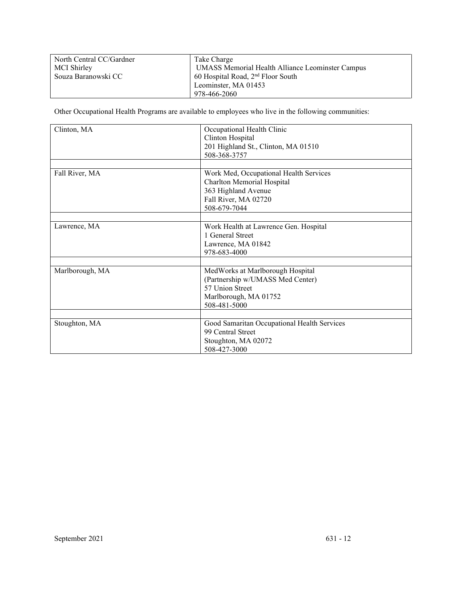| North Central CC/Gardner | Take Charge                                             |
|--------------------------|---------------------------------------------------------|
| MCI Shirley              | <b>UMASS Memorial Health Alliance Leominster Campus</b> |
| Souza Baranowski CC      | 60 Hospital Road, $2nd$ Floor South                     |
|                          | Leominster, MA 01453                                    |
|                          | 978-466-2060                                            |

Other Occupational Health Programs are available to employees who live in the following communities:

| Clinton, MA     | Occupational Health Clinic<br>Clinton Hospital |
|-----------------|------------------------------------------------|
|                 | 201 Highland St., Clinton, MA 01510            |
|                 | 508-368-3757                                   |
|                 |                                                |
| Fall River, MA  | Work Med, Occupational Health Services         |
|                 | Charlton Memorial Hospital                     |
|                 | 363 Highland Avenue                            |
|                 | Fall River, MA 02720                           |
|                 | 508-679-7044                                   |
|                 |                                                |
| Lawrence, MA    | Work Health at Lawrence Gen. Hospital          |
|                 | 1 General Street                               |
|                 | Lawrence, MA 01842                             |
|                 | 978-683-4000                                   |
|                 |                                                |
| Marlborough, MA | MedWorks at Marlborough Hospital               |
|                 | (Partnership w/UMASS Med Center)               |
|                 | 57 Union Street                                |
|                 | Marlborough, MA 01752                          |
|                 | 508-481-5000                                   |
|                 |                                                |
| Stoughton, MA   | Good Samaritan Occupational Health Services    |
|                 | 99 Central Street                              |
|                 | Stoughton, MA 02072                            |
|                 | 508-427-3000                                   |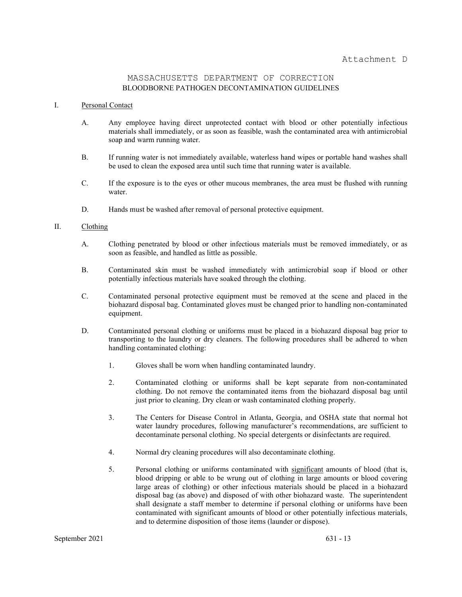### MASSACHUSETTS DEPARTMENT OF CORRECTION BLOODBORNE PATHOGEN DECONTAMINATION GUIDELINES

#### I. Personal Contact

- A. Any employee having direct unprotected contact with blood or other potentially infectious materials shall immediately, or as soon as feasible, wash the contaminated area with antimicrobial soap and warm running water.
- B. If running water is not immediately available, waterless hand wipes or portable hand washes shall be used to clean the exposed area until such time that running water is available.
- C. If the exposure is to the eyes or other mucous membranes, the area must be flushed with running water.
- D. Hands must be washed after removal of personal protective equipment.

#### II. Clothing

- A. Clothing penetrated by blood or other infectious materials must be removed immediately, or as soon as feasible, and handled as little as possible.
- B. Contaminated skin must be washed immediately with antimicrobial soap if blood or other potentially infectious materials have soaked through the clothing.
- C. Contaminated personal protective equipment must be removed at the scene and placed in the biohazard disposal bag. Contaminated gloves must be changed prior to handling non-contaminated equipment.
- D. Contaminated personal clothing or uniforms must be placed in a biohazard disposal bag prior to transporting to the laundry or dry cleaners. The following procedures shall be adhered to when handling contaminated clothing:
	- 1. Gloves shall be worn when handling contaminated laundry.
	- 2. Contaminated clothing or uniforms shall be kept separate from non-contaminated clothing. Do not remove the contaminated items from the biohazard disposal bag until just prior to cleaning. Dry clean or wash contaminated clothing properly.
	- 3. The Centers for Disease Control in Atlanta, Georgia, and OSHA state that normal hot water laundry procedures, following manufacturer's recommendations, are sufficient to decontaminate personal clothing. No special detergents or disinfectants are required.
	- 4. Normal dry cleaning procedures will also decontaminate clothing.
	- 5. Personal clothing or uniforms contaminated with significant amounts of blood (that is, blood dripping or able to be wrung out of clothing in large amounts or blood covering large areas of clothing) or other infectious materials should be placed in a biohazard disposal bag (as above) and disposed of with other biohazard waste. The superintendent shall designate a staff member to determine if personal clothing or uniforms have been contaminated with significant amounts of blood or other potentially infectious materials, and to determine disposition of those items (launder or dispose).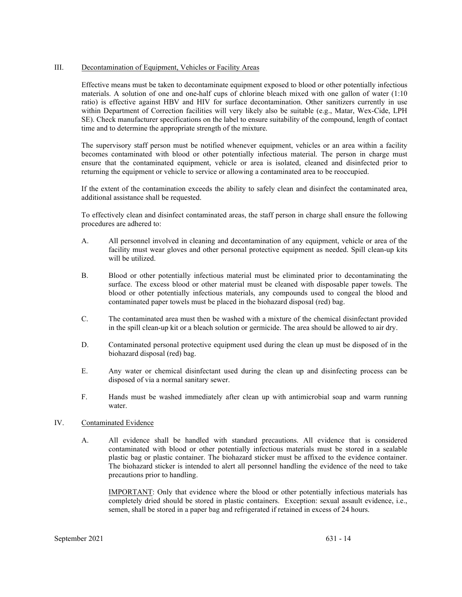#### III. Decontamination of Equipment, Vehicles or Facility Areas

Effective means must be taken to decontaminate equipment exposed to blood or other potentially infectious materials. A solution of one and one-half cups of chlorine bleach mixed with one gallon of water (1:10 ratio) is effective against HBV and HIV for surface decontamination. Other sanitizers currently in use within Department of Correction facilities will very likely also be suitable (e.g., Matar, Wex-Cide, LPH SE). Check manufacturer specifications on the label to ensure suitability of the compound, length of contact time and to determine the appropriate strength of the mixture.

The supervisory staff person must be notified whenever equipment, vehicles or an area within a facility becomes contaminated with blood or other potentially infectious material. The person in charge must ensure that the contaminated equipment, vehicle or area is isolated, cleaned and disinfected prior to returning the equipment or vehicle to service or allowing a contaminated area to be reoccupied.

If the extent of the contamination exceeds the ability to safely clean and disinfect the contaminated area, additional assistance shall be requested.

To effectively clean and disinfect contaminated areas, the staff person in charge shall ensure the following procedures are adhered to:

- A. All personnel involved in cleaning and decontamination of any equipment, vehicle or area of the facility must wear gloves and other personal protective equipment as needed. Spill clean-up kits will be utilized.
- B. Blood or other potentially infectious material must be eliminated prior to decontaminating the surface. The excess blood or other material must be cleaned with disposable paper towels. The blood or other potentially infectious materials, any compounds used to congeal the blood and contaminated paper towels must be placed in the biohazard disposal (red) bag.
- C. The contaminated area must then be washed with a mixture of the chemical disinfectant provided in the spill clean-up kit or a bleach solution or germicide. The area should be allowed to air dry.
- D. Contaminated personal protective equipment used during the clean up must be disposed of in the biohazard disposal (red) bag.
- E. Any water or chemical disinfectant used during the clean up and disinfecting process can be disposed of via a normal sanitary sewer.
- F. Hands must be washed immediately after clean up with antimicrobial soap and warm running water.

### IV. Contaminated Evidence

A. All evidence shall be handled with standard precautions. All evidence that is considered contaminated with blood or other potentially infectious materials must be stored in a sealable plastic bag or plastic container. The biohazard sticker must be affixed to the evidence container. The biohazard sticker is intended to alert all personnel handling the evidence of the need to take precautions prior to handling.

IMPORTANT: Only that evidence where the blood or other potentially infectious materials has completely dried should be stored in plastic containers. Exception: sexual assault evidence, i.e., semen, shall be stored in a paper bag and refrigerated if retained in excess of 24 hours.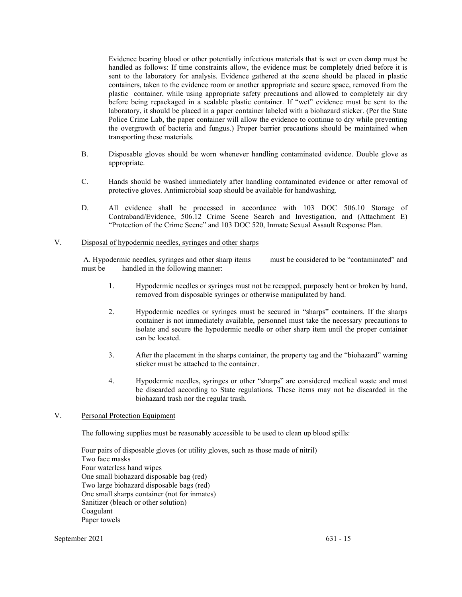Evidence bearing blood or other potentially infectious materials that is wet or even damp must be handled as follows: If time constraints allow, the evidence must be completely dried before it is sent to the laboratory for analysis. Evidence gathered at the scene should be placed in plastic containers, taken to the evidence room or another appropriate and secure space, removed from the plastic container, while using appropriate safety precautions and allowed to completely air dry before being repackaged in a sealable plastic container. If "wet" evidence must be sent to the laboratory, it should be placed in a paper container labeled with a biohazard sticker. (Per the State Police Crime Lab, the paper container will allow the evidence to continue to dry while preventing the overgrowth of bacteria and fungus.) Proper barrier precautions should be maintained when transporting these materials.

- B. Disposable gloves should be worn whenever handling contaminated evidence. Double glove as appropriate.
- C. Hands should be washed immediately after handling contaminated evidence or after removal of protective gloves. Antimicrobial soap should be available for handwashing.
- D. All evidence shall be processed in accordance with 103 DOC 506.10 Storage of Contraband/Evidence, 506.12 Crime Scene Search and Investigation, and (Attachment E) "Protection of the Crime Scene" and 103 DOC 520, Inmate Sexual Assault Response Plan.

#### V. Disposal of hypodermic needles, syringes and other sharps

A. Hypodermic needles, syringes and other sharp items must be considered to be "contaminated" and must be handled in the following manner:

- 1. Hypodermic needles or syringes must not be recapped, purposely bent or broken by hand, removed from disposable syringes or otherwise manipulated by hand.
- 2. Hypodermic needles or syringes must be secured in "sharps" containers. If the sharps container is not immediately available, personnel must take the necessary precautions to isolate and secure the hypodermic needle or other sharp item until the proper container can be located.
- 3. After the placement in the sharps container, the property tag and the "biohazard" warning sticker must be attached to the container.
- 4. Hypodermic needles, syringes or other "sharps" are considered medical waste and must be discarded according to State regulations. These items may not be discarded in the biohazard trash nor the regular trash.
- V. Personal Protection Equipment

The following supplies must be reasonably accessible to be used to clean up blood spills:

Four pairs of disposable gloves (or utility gloves, such as those made of nitril) Two face masks Four waterless hand wipes One small biohazard disposable bag (red) Two large biohazard disposable bags (red) One small sharps container (not for inmates) Sanitizer (bleach or other solution) Coagulant Paper towels